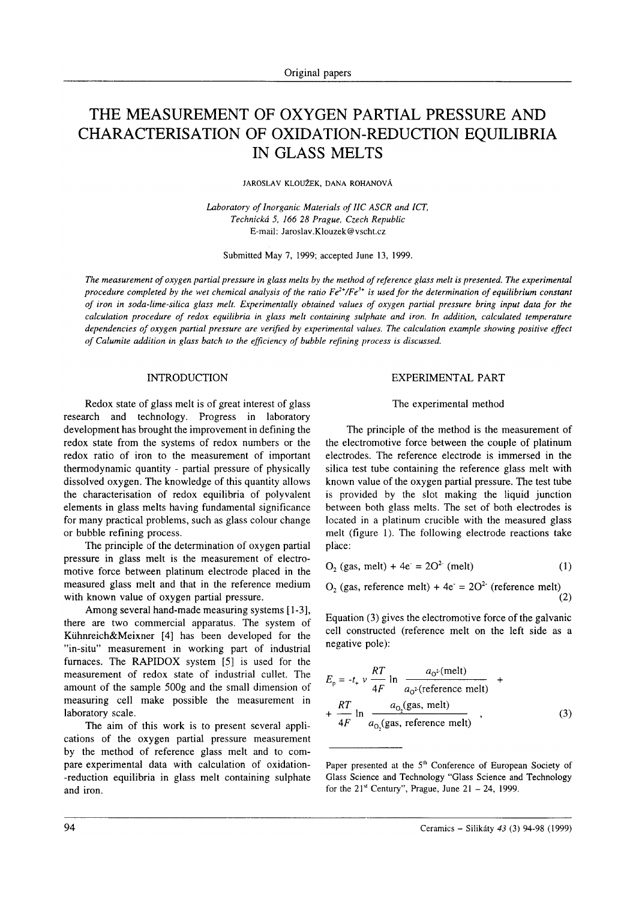# THE MEASUREMENT OF OXYGEN PARTIAL PRESSURE AND CHARACTERISATION OF OXIDATION-REDUCTION EQUILIBRIA IN GLASS MELTS

JARosLAv KLoUŽEK. DANA RoHANovÁ

Laboratory of Inorganic Materials of IIC ASCR and ICT, Technická 5, 166 28 Prague, Czech Republic E-mail: Jaroslav.Klouzek @vscht.cz

Submitted May 7,1999; accepted June 13, 1999.

The measurement of oxygen partial pressure in glass melts by the method of reference glass melt is presented. The experimental procedure completed by the wet chemical analysis of the ratio  $Fe^{2+}/Fe^{3+}$  is used for the determination of equilibrium constant of iron in soda-lime-silica glass melt. Experimentally obtained values of oxygen partial pressure bring input data for the calculation procedure of redox equilibria in glass melt containing sulphate and iron. In addition, calculated temperature dependencies of oxygen partial pressure are verified by experimental values. The calculation example showing positive effect of Calumite addition in glass batch to the efficiency of bubble refining process is discussed.

## INTRODUCTION

Redox state of glass melt is of great interest of glass research and technology. Progress in laboratory development has brought the improvement in defining the redox state from the systems of redox numbers or the redox ratio of iron to the measurement of important thermodynamic quantity - partial pressure of physically dissolved oxygen. The knowledge of this quantity allows the characterisation of redox equilibria of polyvalent elements in glass melts having fundamental significance for many practical problems, such as glass colour change or bubble refining process.

The principle of the determination of oxygen partial pressure in glass melt is the measurement of electromotive force between platinum electrode placed in the measured glass melt and that in the reference medium with known value of oxygen partial pressure.

Among several hand-made measuring systems [1-3], there are two commercial apparatus. The system of Kúhnreich&Meixner [4] has been developed for the "in-situ" measurement in working part of industrial furnaces. The RAPIDOX system [5] is used for the measurement of redox state of industrial cullet. The amount of the sample 5009 and the small dimension of measuring cell make possible the measurement in laboratory scale.

The aim of this work is to present several applications of the oxygen partial pressure measurement by the method of reference glass melt and to compare experimental data with calculation of oxidation- -reduction equilibria in glass melt containing sulphate and iron.

#### EXPERIMENTAL PART

#### The experimental method

The principle of the method is the measurement of the electromotive force between the couple of platinum electrodes. The reference electrode is immersed in the silica test tube containing the reference glass melt with known value of the oxygen partial pressure. The test tube is provided by the slot making the liquid junction between both glass melts. The set of both electrodes is located in a platinum crucible with the measured glass melt (figure l). The following electrode reactions take pláce:

$$
O2 (gas, melt) + 4e2 = 2O2 (melt)
$$
 (1)

 $O_2$  (gas, reference melt) + 4e<sup>-</sup> = 20<sup>2-</sup> (reference melt)  $(2)$ 

Equation (3) gives the electromotive force of the galvanic cell constructed (reference melt on the left side as a negative pole):

$$
E_p = -t_{+} v \frac{RT}{4F} \ln \frac{a_0^2(\text{melt})}{a_0^2(\text{reference melt})} +
$$
  
+ 
$$
\frac{RT}{4F} \ln \frac{a_0(\text{gas, melt})}{a_0(\text{gas, reference melt})},
$$
 (3)

Paper presented at the 5<sup>th</sup> Conference of European Society of Glass Science and Technology "Glass Science and Technology for the  $21^{st}$  Century", Prague, June  $21 - 24$ , 1999.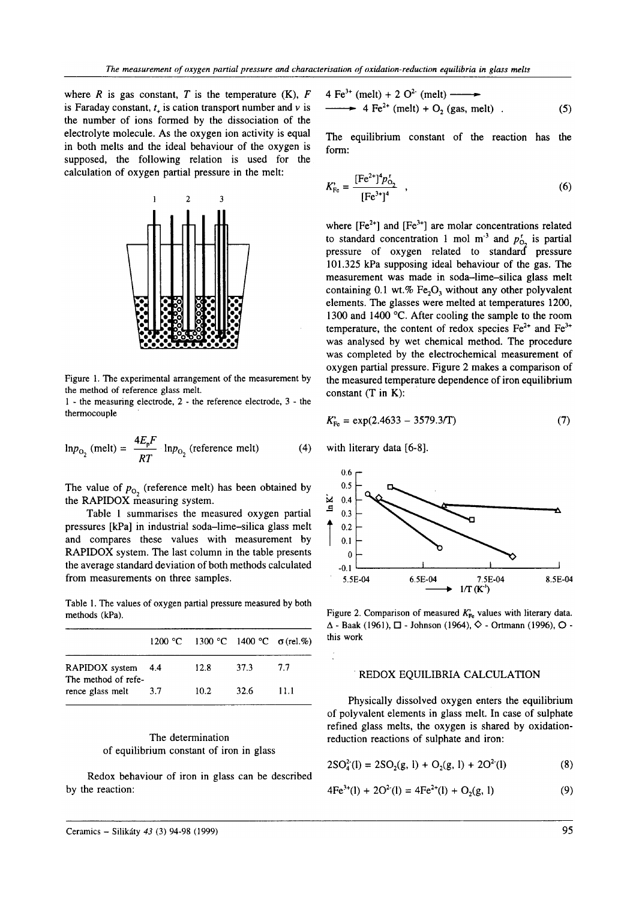where R is gas constant, T is the temperature  $(K)$ , F is Faraday constant,  $t_{\perp}$  is cation transport number and v is the number of ions formed by the dissociation of the electrolyte molecule. As the oxygen ion activity is equal in both melts and the ideal behaviour of the oxygen is supposed, the following relation is used for the calculation of oxygen partial pressure in the melt:



Figure 1. The experimental arrangement of the measurement by the method of reference glass melt.

1 - the measuring electrode, 2 - the reference electrode, 3 - the thermocouple

$$
\ln p_{\text{O}_2} \text{ (melt)} = \frac{4E_p F}{RT} \cdot \ln p_{\text{O}_2} \text{ (reference melt)} \tag{4}
$$

The value of  $p_{O_2}$  (reference melt) has been obtained by the RAPIDOX measuring system.

Table 1 summarises the measured oxygen partial pressures [kPa] in industrial soda-lime-silica glass melt and compares these values with measurement by RAPIDOX system. The last column in the table presents the average standard deviation of both methods calculated from measurements on three samples.

Table 1. The values of oxygen partial pressure measured by both methods (kPa).

|                                           |     | 1200 °C 1300 °C 1400 °C $\sigma$ (rel.%) |      |      |
|-------------------------------------------|-----|------------------------------------------|------|------|
| RAPIDOX system 4.4<br>The method of refe- |     | 12.8                                     | 37.3 | 77   |
| rence glass melt                          | 3.7 | 10.2                                     | 32.6 | 11.1 |

# The determination of equilibrium constant of iron in glass

Redox behaviour of iron in glass can be described by the reaction:

$$
4 \text{ Fe}^{3+} \text{ (melt)} + 2 O^2 \text{ (melt)} \longrightarrow
$$
  
\n
$$
\longrightarrow 4 \text{ Fe}^{2+} \text{ (melt)} + O_2 \text{ (gas, melt)} \tag{5}
$$

The equilibrium constant of the reaction has the form:

$$
K_{\rm Fe}^{\prime} = \frac{[\rm Fe^{2+}]^4 p_{\rm O_2}^{\rm r}}{[\rm Fe^{3+}]^4} , \qquad (6)
$$

where  $[Fe^{2+}]$  and  $[Fe^{3+}]$  are molar concentrations related to standard concentration 1 mol m<sup>-3</sup> and  $p_{O_2}^t$  is partial<br>pressure of oxygen related to standard pressure 101.325 kPa supposing ideal behaviour of the gas. The measurement was made in soda-lime-silica glass melt containing 0.1 wt.% Fe<sub>2</sub>O<sub>3</sub> without any other polyvalent elements. The glasses were melted at temperatures 1200, 1300 and 1400 °C. After cooling the sample to the room temperature, the content of redox species  $Fe^{2+}$  and  $Fe^{3+}$ was analysed by wet chemical method. The procedure was completed by the electrochemical measurement of oxygen partial pressure. Figure 2 makes a comparison of the measured temperature dependence of iron equilibrium constant  $(T$  in  $K)$ :

$$
K_{\text{Fe}}^{\prime} = \exp(2.4633 - 3579.3/\text{T})
$$
 (7)

with literary data [6-8].



Figure 2. Comparison of measured  $K_{Fe}$  values with literary data.  $\Delta$  - Baak (1961),  $\square$  - Johnson (1964),  $\diamondsuit$  - Ortmann (1996),  $\square$  this work

# REDOX EQUILIBRIA CALCULATION

Physically dissolved oxygen enters the equilibrium of polyvalent elements in glass melt. In case of sulphate refined glass melts, the oxygen is shared by oxidationreduction reactions of sulphate and iron:

$$
2SO42(I) = 2SO2(g, I) + O2(g, I) + 2O2(I)
$$
 (8)

$$
4Fe^{3+}(l) + 2O^{2-}(l) = 4Fe^{2+}(l) + O_2(g, l)
$$
\n(9)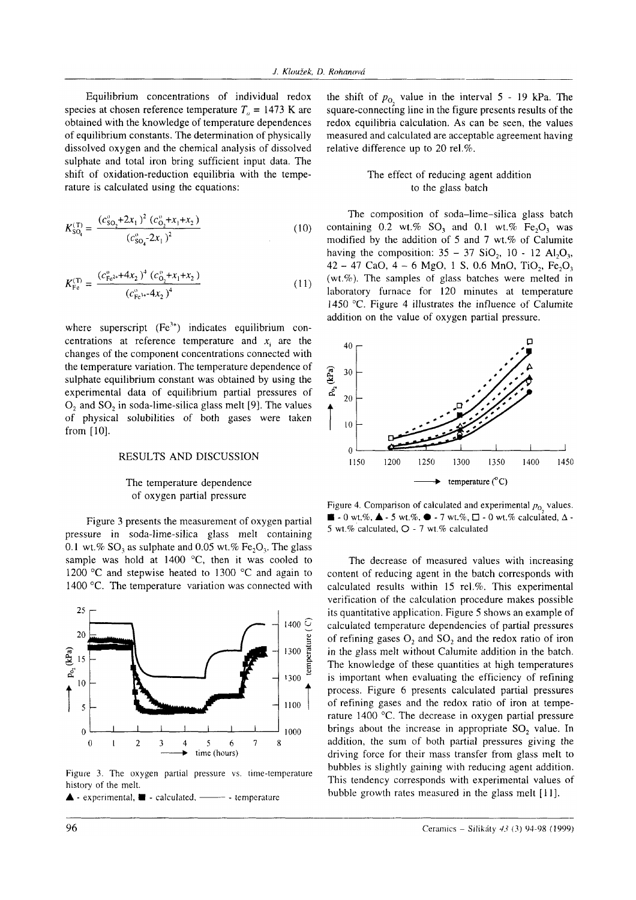Equilibrium concentrations of individual redox species at chosen reference temperature  $T_a = 1473$  K are obtained with the knowledge of temperature dependences of equilibrium constants. The determination of physically dissolved oxygen and the chemical analysis of dissolved sulphate and total iron bring sufficient input data. The shift of oxidation-reduction equilibria with the temperature is calculated using the equations:

$$
K_{\text{SO}_4}^{(\text{T})} = \frac{(c_{\text{SO}_2}^{\text{v}} + 2x_1)^2 (c_{\text{O}_2}^{\text{v}} + x_1 + x_2)}{(c_{\text{SO}_4}^{\text{v}} - 2x_1)^2}
$$
(10)

$$
K_{\rm Fe}^{(T)} = \frac{(c_{\rm Fe^{2+}}^{\rm o} + 4x_2)^4 (c_{\rm O_2}^{\rm o} + x_1 + x_2)}{(c_{\rm Fe^{1+}}^{\rm o} + 4x_2)^4}
$$
(11)

where superscript  $(Fe<sup>3+</sup>)$  indicates equilibrium concentrations at reference temperature and  $x_i$  are the changes of the component concentrations connected with the temperature variation. The temperature dependence of sulphate equilibrium constant was obtained by using the experimental data of equilibrium partial pressures of O<sub>2</sub> and SO<sub>2</sub> in soda-lime-silica glass melt [9]. The values of physical solubilities of both gases were taken from  $[10]$ .

#### RESULTS AND DISCUSSION

## The temperature dependence of oxygen partial pressure

Figure 3 presents the measurement of oxygen partial pressure in soda-lime-silica glass melt containing 0.1 wt.% SO<sub>2</sub> as sulphate and 0.05 wt.% Fe<sub>2</sub>O<sub>2</sub>. The glass sample was hold at 1400 °C, then it was cooled to 1200 °C and stepwise heated to 1300 °C and again to 1400 °C. The temperature variation was connected with



Figure 3. The oxygen partial pressure vs. time-temperature history of the melt.

 $\blacktriangle$  - experimental,  $\blacksquare$  - calculated, —— - temperature

the shift of  $p_0$ , value in the interval 5 - 19 kPa. The square-connecting line in the figure presents results of the redox equilibria calculation. As can be seen, the values measured and calculated are acceptable agreement having relative difference up to 20 rel.%.

# The effect of reducing agent addition to the glass batch

The composition of soda-lime-silica glass batch containing 0.2 wt.%  $SO_3$  and 0.1 wt.%  $Fe_2O_3$  was modified by the addition of 5 and 7 wt.% of Calumite having the composition:  $35 - 37$  SiO<sub>2</sub>, 10 - 12 Al<sub>2</sub>O<sub>3</sub>, 42 - 47 CaO, 4 - 6 MgO, 1 S, 0.6 MnO, TiO<sub>2</sub>, Fe<sub>2</sub>O<sub>3</sub> (wt.%). The samples of glass batches were melted in laboratory furnace for 120 minutes at temperature 1450 °C. Figure 4 illustrates the influence of Calumite addition on the value of oxygen partial pressure.



Figure 4. Comparison of calculated and experimental  $p_0$  values.  $\blacksquare$  - 0 wt.%,  $\blacktriangle$  - 5 wt.%,  $\blacktriangleright$  - 7 wt.%,  $\square$  - 0 wt.% calculated,  $\triangle$  -5 wt.% calculated, Q - 7 wt.% calculated

The decrease of measured values with increasing content of reducing agent in the batch corresponds with calculated results within 15 rel.%. This experimental verification of the calculation procedure makes possible its quantitative application. Figure 5 shows an example of calculated temperature dependencies of partial pressures of refining gases  $O_2$  and  $SO_2$  and the redox ratio of iron in the glass melt without Calumite addition in the batch. The knowledge of these quantities at high temperatures is important when evaluating the efficiency of refining process. Figure 6 presents calculated partial pressures of refining gases and the redox ratio of iron at temperature 1400 °C. The decrease in oxygen partial pressure brings about the increase in appropriate SO<sub>2</sub> value. In addition, the sum of both partial pressures giving the driving force for their mass transfer from glass melt to bubbles is slightly gaining with reducing agent addition. This tendency corresponds with experimental values of bubble growth rates measured in the glass melt [11].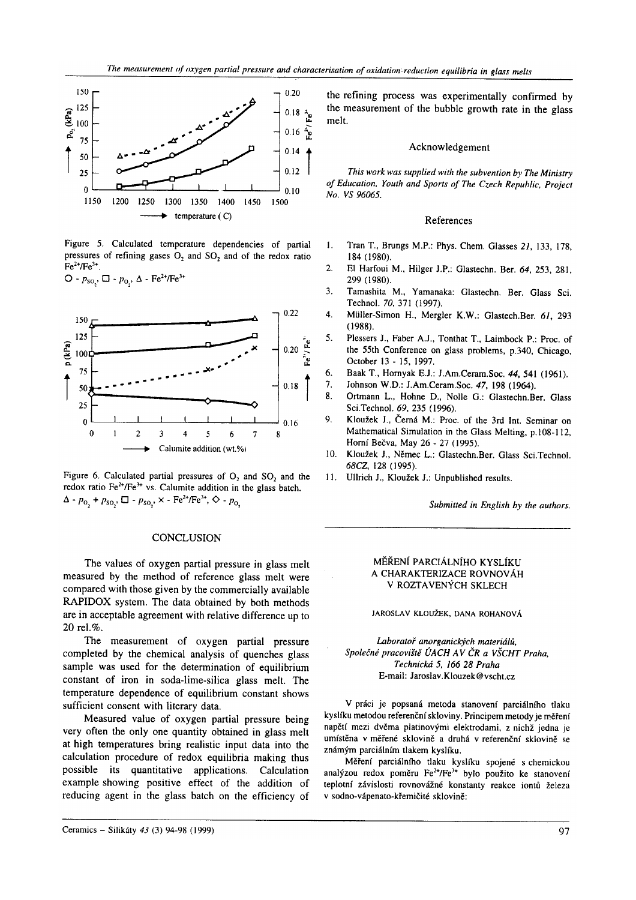

Figure 5. Calculated temperature dependencies of partial pressures of refining gases O<sub>2</sub> and SO<sub>2</sub> and of the redox ratio  $Fe^{2+}/Fe^{3+}$ .

 $O - p_{SO_2}, \Box - p_{O_2}, \Delta - Fe^{2+}/Fe^{3+}$ 



Figure 6. Calculated partial pressures of  $O_2$  and  $SO_2$  and the redox ratio Fe<sup>2+</sup>/Fe<sup>3+</sup> vs. Calumite addition in the glass batch.  $\Delta$  -  $p_{0}$  +  $p_{\text{so}}$ ,  $\Box$  -  $p_{\text{so}}$ ,  $\times$  -  $\text{Fe}^{2+}/\text{Fe}^{3+}$ ,  $\Diamond$  -  $p_{0}$ 

## **CONCLUSION**

The values of oxygen partial pressure in glass melt measured by the method of reference glass melt were compared with those given by the commercially available RAPIDOX system. The data obtained by both methods are in acceptable agreement with relative difference up to 20 rel.%.

The measurement of oxygen partial pressure completed by the chemical analysis of quenches glass sample was used for the determination of equilibrium constant of iron in soda-lime-silica glass melt. The temperature dependence of equilibrium constant shows sufficient consent with literary data.

Measured value of oxygen partial pressure being very often the only one quantity obtained in glass melt at high temperatures bring realistic input data into the calculation procedure of redox equilibria making thus possible its quantitative applications. Calculation example showing positive effect of the addition of reducing agent in the glass batch on the efficiency of

Ceramics - Silikáty 43 (3) 94-98 (1999)

the refining process was experimentally confirmed by the measurement of the bubble growth rate in the glass melt.

### Acknowledgement

This work was supplied with the subvention by The Ministry of Education, Youth and Sports of The Czech Republic, Project No. VS 96065.

#### References

- $\mathbf{1}$ . Tran T., Brungs M.P.: Phys. Chem. Glasses 21, 133, 178, 184 (1980).
- $\overline{2}$ El Harfoui M., Hilger J.P.: Glastechn. Ber. 64, 253, 281, 299 (1980).
- $\mathbf{a}$ Tamashita M., Yamanaka: Glastechn. Ber. Glass Sci. Technol. 70, 371 (1997).
- 4. Müller-Simon H., Mergler K.W.: Glastech.Ber. 61, 293  $(1988).$
- 5. Plessers J., Faber A.J., Tonthat T., Laimbock P.: Proc. of the 55th Conference on glass problems, p.340, Chicago, October 13 - 15, 1997.
- 6. Baak T., Hornyak E.J.: J.Am.Ceram.Soc. 44, 541 (1961).
- 7. Johnson W.D.: J.Am.Ceram.Soc. 47, 198 (1964).
- 8. Ortmann L., Hohne D., Nolle G.: Glastechn.Ber. Glass Sci.Technol. 69, 235 (1996).
- 9. Kloužek J., Černá M.: Proc. of the 3rd Int. Seminar on Mathematical Simulation in the Glass Melting, p.108-112, Horní Bečva, May 26 - 27 (1995).
- Kloužek J., Němec L.: Glastechn.Ber. Glass Sci.Technol.  $10.$ 68CZ, 128 (1995).
- $11.$ Ullrich J., Kloužek J.: Unpublished results.

Submitted in English by the authors.

## MĚŘENÍ PARCIÁLNÍHO KYSLÍKU A CHARAKTERIZACE ROVNOVÁH V ROZTAVENÝCH SKLECH

## JAROSLAV KLOUŽEK, DANA ROHANOVÁ

Laboratoř anorganických materiálů, Společné pracoviště ÚACH AV ČR a VŠCHT Praha. Technická 5. 166 28 Praha E-mail: Jaroslav.Klouzek@vscht.cz

V práci je popsaná metoda stanovení parciálního tlaku kvslíku metodou referenční skloviny. Principem metody je měření napětí mezi dvěma platinovými elektrodami, z nichž jedna je umístěna v měřené sklovině a druhá v referenční sklovině se známým parciálním tlakem kyslíku.

Měření parciálního tlaku kyslíku spojené s chemickou analýzou redox poměru Fe<sup>2+</sup>/Fe<sup>3+</sup> bylo použito ke stanovení teplotní závislosti rovnovážné konstanty reakce iontů železa v sodno-vápenato-křemičité sklovině: